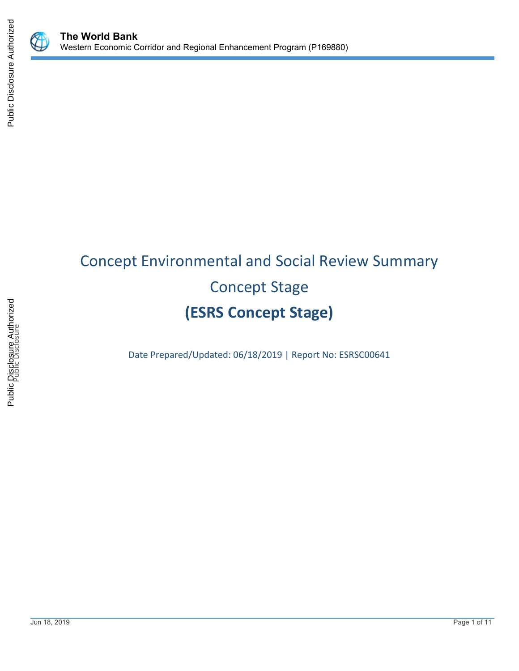

# Concept Environmental and Social Review Summary Concept Stage **(ESRS Concept Stage)**

Date Prepared/Updated: 06/18/2019 | Report No: ESRSC00641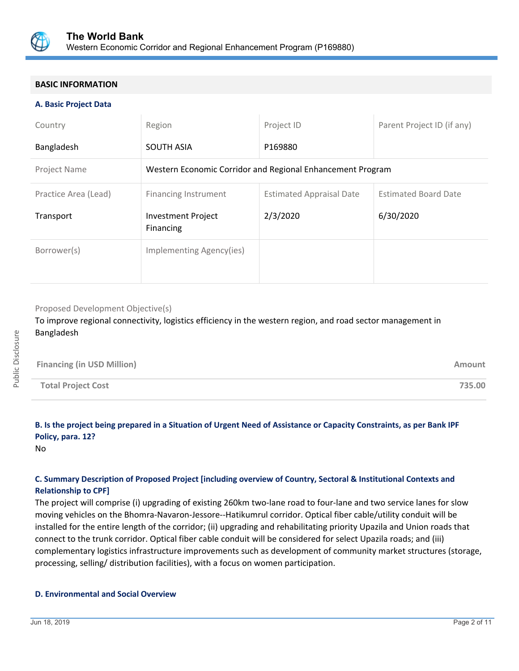

#### **BASIC INFORMATION**

#### **A. Basic Project Data**

| Country              | Region                                                     | Project ID                      | Parent Project ID (if any)  |
|----------------------|------------------------------------------------------------|---------------------------------|-----------------------------|
| Bangladesh           | <b>SOUTH ASIA</b>                                          | P169880                         |                             |
| Project Name         | Western Economic Corridor and Regional Enhancement Program |                                 |                             |
| Practice Area (Lead) | Financing Instrument                                       | <b>Estimated Appraisal Date</b> | <b>Estimated Board Date</b> |
| Transport            | <b>Investment Project</b><br>Financing                     | 2/3/2020                        | 6/30/2020                   |
| Borrower(s)          | Implementing Agency(ies)                                   |                                 |                             |

#### Proposed Development Objective(s)

To improve regional connectivity, logistics efficiency in the western region, and road sector management in Bangladesh

| <b>Financing (in USD Million)</b> | Amount |
|-----------------------------------|--------|
| <b>Total Project Cost</b>         | 735.00 |

## **B. Is the project being prepared in a Situation of Urgent Need of Assistance or Capacity Constraints, as per Bank IPF Policy, para. 12?**

No

## **C. Summary Description of Proposed Project [including overview of Country, Sectoral & Institutional Contexts and Relationship to CPF]**

The project will comprise (i) upgrading of existing 260km two-lane road to four-lane and two service lanes for slow moving vehicles on the Bhomra-Navaron-Jessore--Hatikumrul corridor. Optical fiber cable/utility conduit will be installed for the entire length of the corridor; (ii) upgrading and rehabilitating priority Upazila and Union roads that connect to the trunk corridor. Optical fiber cable conduit will be considered for select Upazila roads; and (iii) complementary logistics infrastructure improvements such as development of community market structures (storage, processing, selling/ distribution facilities), with a focus on women participation.

## **D. Environmental and Social Overview**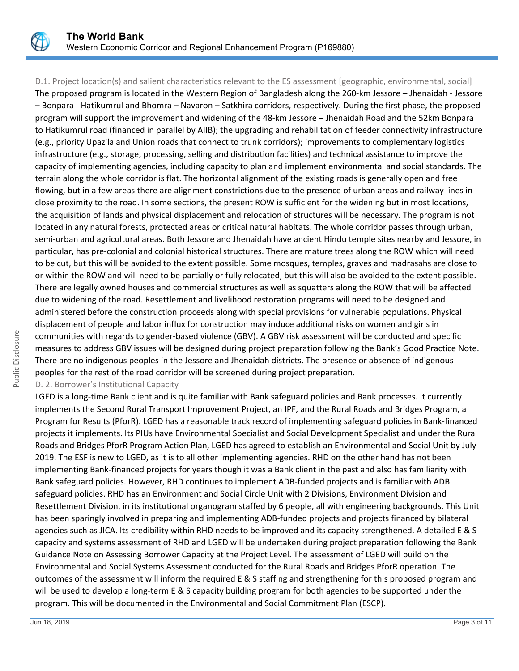

D.1. Project location(s) and salient characteristics relevant to the ES assessment [geographic, environmental, social] The proposed program is located in the Western Region of Bangladesh along the 260-km Jessore – Jhenaidah - Jessore – Bonpara - Hatikumrul and Bhomra – Navaron – Satkhira corridors, respectively. During the first phase, the proposed program will support the improvement and widening of the 48-km Jessore – Jhenaidah Road and the 52km Bonpara to Hatikumrul road (financed in parallel by AIIB); the upgrading and rehabilitation of feeder connectivity infrastructure (e.g., priority Upazila and Union roads that connect to trunk corridors); improvements to complementary logistics infrastructure (e.g., storage, processing, selling and distribution facilities) and technical assistance to improve the capacity of implementing agencies, including capacity to plan and implement environmental and social standards. The terrain along the whole corridor is flat. The horizontal alignment of the existing roads is generally open and free flowing, but in a few areas there are alignment constrictions due to the presence of urban areas and railway lines in close proximity to the road. In some sections, the present ROW is sufficient for the widening but in most locations, the acquisition of lands and physical displacement and relocation of structures will be necessary. The program is not located in any natural forests, protected areas or critical natural habitats. The whole corridor passes through urban, semi-urban and agricultural areas. Both Jessore and Jhenaidah have ancient Hindu temple sites nearby and Jessore, in particular, has pre-colonial and colonial historical structures. There are mature trees along the ROW which will need to be cut, but this will be avoided to the extent possible. Some mosques, temples, graves and madrasahs are close to or within the ROW and will need to be partially or fully relocated, but this will also be avoided to the extent possible. There are legally owned houses and commercial structures as well as squatters along the ROW that will be affected due to widening of the road. Resettlement and livelihood restoration programs will need to be designed and administered before the construction proceeds along with special provisions for vulnerable populations. Physical displacement of people and labor influx for construction may induce additional risks on women and girls in communities with regards to gender-based violence (GBV). A GBV risk assessment will be conducted and specific measures to address GBV issues will be designed during project preparation following the Bank's Good Practice Note. There are no indigenous peoples in the Jessore and Jhenaidah districts. The presence or absence of indigenous peoples for the rest of the road corridor will be screened during project preparation.

D. 2. Borrower's Institutional Capacity

LGED is a long-time Bank client and is quite familiar with Bank safeguard policies and Bank processes. It currently implements the Second Rural Transport Improvement Project, an IPF, and the Rural Roads and Bridges Program, a Program for Results (PforR). LGED has a reasonable track record of implementing safeguard policies in Bank-financed projects it implements. Its PIUs have Environmental Specialist and Social Development Specialist and under the Rural Roads and Bridges PforR Program Action Plan, LGED has agreed to establish an Environmental and Social Unit by July 2019. The ESF is new to LGED, as it is to all other implementing agencies. RHD on the other hand has not been implementing Bank-financed projects for years though it was a Bank client in the past and also has familiarity with Bank safeguard policies. However, RHD continues to implement ADB-funded projects and is familiar with ADB safeguard policies. RHD has an Environment and Social Circle Unit with 2 Divisions, Environment Division and Resettlement Division, in its institutional organogram staffed by 6 people, all with engineering backgrounds. This Unit has been sparingly involved in preparing and implementing ADB-funded projects and projects financed by bilateral agencies such as JICA. Its credibility within RHD needs to be improved and its capacity strengthened. A detailed E & S capacity and systems assessment of RHD and LGED will be undertaken during project preparation following the Bank Guidance Note on Assessing Borrower Capacity at the Project Level. The assessment of LGED will build on the Environmental and Social Systems Assessment conducted for the Rural Roads and Bridges PforR operation. The outcomes of the assessment will inform the required E & S staffing and strengthening for this proposed program and will be used to develop a long-term E & S capacity building program for both agencies to be supported under the program. This will be documented in the Environmental and Social Commitment Plan (ESCP).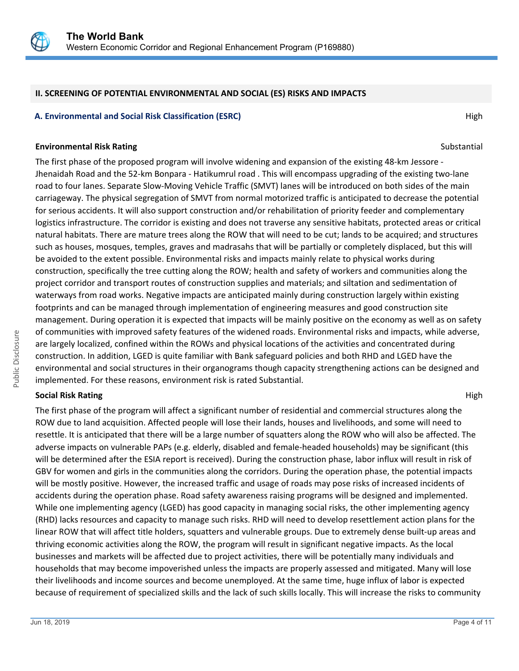

#### **II. SCREENING OF POTENTIAL ENVIRONMENTAL AND SOCIAL (ES) RISKS AND IMPACTS**

#### **A. Environmental and Social Risk Classification (ESRC) High A. Environmental and Social Risk Classification (ESRC)**

#### **Environmental Risk Rating Substantial Substantial Substantial Substantial Substantial Substantial Substantial Substantial Substantial Substantial Substantial Substantial Substantial Substantial Substantial Substantial Sub**

The first phase of the proposed program will involve widening and expansion of the existing 48-km Jessore - Jhenaidah Road and the 52-km Bonpara - Hatikumrul road . This will encompass upgrading of the existing two-lane road to four lanes. Separate Slow-Moving Vehicle Traffic (SMVT) lanes will be introduced on both sides of the main carriageway. The physical segregation of SMVT from normal motorized traffic is anticipated to decrease the potential for serious accidents. It will also support construction and/or rehabilitation of priority feeder and complementary logistics infrastructure. The corridor is existing and does not traverse any sensitive habitats, protected areas or critical natural habitats. There are mature trees along the ROW that will need to be cut; lands to be acquired; and structures such as houses, mosques, temples, graves and madrasahs that will be partially or completely displaced, but this will be avoided to the extent possible. Environmental risks and impacts mainly relate to physical works during construction, specifically the tree cutting along the ROW; health and safety of workers and communities along the project corridor and transport routes of construction supplies and materials; and siltation and sedimentation of waterways from road works. Negative impacts are anticipated mainly during construction largely within existing footprints and can be managed through implementation of engineering measures and good construction site management. During operation it is expected that impacts will be mainly positive on the economy as well as on safety of communities with improved safety features of the widened roads. Environmental risks and impacts, while adverse, are largely localized, confined within the ROWs and physical locations of the activities and concentrated during construction. In addition, LGED is quite familiar with Bank safeguard policies and both RHD and LGED have the environmental and social structures in their organograms though capacity strengthening actions can be designed and implemented. For these reasons, environment risk is rated Substantial.

#### **Social Risk Rating High Research Action Section 2018** High Research Action 2018 High High Research Action 2018

The first phase of the program will affect a significant number of residential and commercial structures along the ROW due to land acquisition. Affected people will lose their lands, houses and livelihoods, and some will need to resettle. It is anticipated that there will be a large number of squatters along the ROW who will also be affected. The adverse impacts on vulnerable PAPs (e.g. elderly, disabled and female-headed households) may be significant (this will be determined after the ESIA report is received). During the construction phase, labor influx will result in risk of GBV for women and girls in the communities along the corridors. During the operation phase, the potential impacts will be mostly positive. However, the increased traffic and usage of roads may pose risks of increased incidents of accidents during the operation phase. Road safety awareness raising programs will be designed and implemented. While one implementing agency (LGED) has good capacity in managing social risks, the other implementing agency (RHD) lacks resources and capacity to manage such risks. RHD will need to develop resettlement action plans for the linear ROW that will affect title holders, squatters and vulnerable groups. Due to extremely dense built-up areas and thriving economic activities along the ROW, the program will result in significant negative impacts. As the local businesses and markets will be affected due to project activities, there will be potentially many individuals and households that may become impoverished unless the impacts are properly assessed and mitigated. Many will lose their livelihoods and income sources and become unemployed. At the same time, huge influx of labor is expected because of requirement of specialized skills and the lack of such skills locally. This will increase the risks to community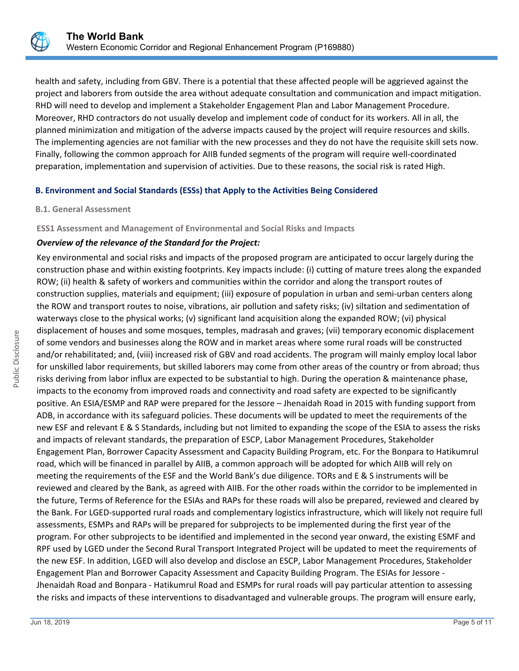

health and safety, including from GBV. There is a potential that these affected people will be aggrieved against the project and laborers from outside the area without adequate consultation and communication and impact mitigation. RHD will need to develop and implement a Stakeholder Engagement Plan and Labor Management Procedure. Moreover, RHD contractors do not usually develop and implement code of conduct for its workers. All in all, the planned minimization and mitigation of the adverse impacts caused by the project will require resources and skills. The implementing agencies are not familiar with the new processes and they do not have the requisite skill sets now. Finally, following the common approach for AIIB funded segments of the program will require well-coordinated preparation, implementation and supervision of activities. Due to these reasons, the social risk is rated High.

## **B. Environment and Social Standards (ESSs) that Apply to the Activities Being Considered**

#### **B.1. General Assessment**

#### **ESS1 Assessment and Management of Environmental and Social Risks and Impacts**

#### *Overview of the relevance of the Standard for the Project:*

Key environmental and social risks and impacts of the proposed program are anticipated to occur largely during the construction phase and within existing footprints. Key impacts include: (i) cutting of mature trees along the expanded ROW; (ii) health & safety of workers and communities within the corridor and along the transport routes of construction supplies, materials and equipment; (iii) exposure of population in urban and semi-urban centers along the ROW and transport routes to noise, vibrations, air pollution and safety risks; (iv) siltation and sedimentation of waterways close to the physical works; (v) significant land acquisition along the expanded ROW; (vi) physical displacement of houses and some mosques, temples, madrasah and graves; (vii) temporary economic displacement of some vendors and businesses along the ROW and in market areas where some rural roads will be constructed and/or rehabilitated; and, (viii) increased risk of GBV and road accidents. The program will mainly employ local labor for unskilled labor requirements, but skilled laborers may come from other areas of the country or from abroad; thus risks deriving from labor influx are expected to be substantial to high. During the operation & maintenance phase, impacts to the economy from improved roads and connectivity and road safety are expected to be significantly positive. An ESIA/ESMP and RAP were prepared for the Jessore – Jhenaidah Road in 2015 with funding support from ADB, in accordance with its safeguard policies. These documents will be updated to meet the requirements of the new ESF and relevant E & S Standards, including but not limited to expanding the scope of the ESIA to assess the risks and impacts of relevant standards, the preparation of ESCP, Labor Management Procedures, Stakeholder Engagement Plan, Borrower Capacity Assessment and Capacity Building Program, etc. For the Bonpara to Hatikumrul road, which will be financed in parallel by AIIB, a common approach will be adopted for which AIIB will rely on meeting the requirements of the ESF and the World Bank's due diligence. TORs and E & S instruments will be reviewed and cleared by the Bank, as agreed with AIIB. For the other roads within the corridor to be implemented in the future, Terms of Reference for the ESIAs and RAPs for these roads will also be prepared, reviewed and cleared by the Bank. For LGED-supported rural roads and complementary logistics infrastructure, which will likely not require full assessments, ESMPs and RAPs will be prepared for subprojects to be implemented during the first year of the program. For other subprojects to be identified and implemented in the second year onward, the existing ESMF and RPF used by LGED under the Second Rural Transport Integrated Project will be updated to meet the requirements of the new ESF. In addition, LGED will also develop and disclose an ESCP, Labor Management Procedures, Stakeholder Engagement Plan and Borrower Capacity Assessment and Capacity Building Program. The ESIAs for Jessore - Jhenaidah Road and Bonpara - Hatikumrul Road and ESMPs for rural roads will pay particular attention to assessing the risks and impacts of these interventions to disadvantaged and vulnerable groups. The program will ensure early,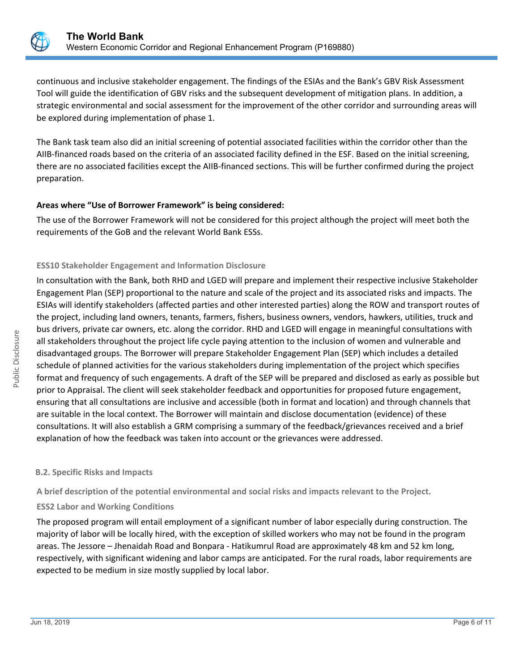

continuous and inclusive stakeholder engagement. The findings of the ESIAs and the Bank's GBV Risk Assessment Tool will guide the identification of GBV risks and the subsequent development of mitigation plans. In addition, a strategic environmental and social assessment for the improvement of the other corridor and surrounding areas will be explored during implementation of phase 1.

The Bank task team also did an initial screening of potential associated facilities within the corridor other than the AIIB-financed roads based on the criteria of an associated facility defined in the ESF. Based on the initial screening, there are no associated facilities except the AIIB-financed sections. This will be further confirmed during the project preparation.

## **Areas where "Use of Borrower Framework" is being considered:**

The use of the Borrower Framework will not be considered for this project although the project will meet both the requirements of the GoB and the relevant World Bank ESSs.

## **ESS10 Stakeholder Engagement and Information Disclosure**

In consultation with the Bank, both RHD and LGED will prepare and implement their respective inclusive Stakeholder Engagement Plan (SEP) proportional to the nature and scale of the project and its associated risks and impacts. The ESIAs will identify stakeholders (affected parties and other interested parties) along the ROW and transport routes of the project, including land owners, tenants, farmers, fishers, business owners, vendors, hawkers, utilities, truck and bus drivers, private car owners, etc. along the corridor. RHD and LGED will engage in meaningful consultations with all stakeholders throughout the project life cycle paying attention to the inclusion of women and vulnerable and disadvantaged groups. The Borrower will prepare Stakeholder Engagement Plan (SEP) which includes a detailed schedule of planned activities for the various stakeholders during implementation of the project which specifies format and frequency of such engagements. A draft of the SEP will be prepared and disclosed as early as possible but prior to Appraisal. The client will seek stakeholder feedback and opportunities for proposed future engagement, ensuring that all consultations are inclusive and accessible (both in format and location) and through channels that are suitable in the local context. The Borrower will maintain and disclose documentation (evidence) of these consultations. It will also establish a GRM comprising a summary of the feedback/grievances received and a brief explanation of how the feedback was taken into account or the grievances were addressed.

#### **B.2. Specific Risks and Impacts**

**A brief description of the potential environmental and social risks and impacts relevant to the Project.**

## **ESS2 Labor and Working Conditions**

The proposed program will entail employment of a significant number of labor especially during construction. The majority of labor will be locally hired, with the exception of skilled workers who may not be found in the program areas. The Jessore – Jhenaidah Road and Bonpara - Hatikumrul Road are approximately 48 km and 52 km long, respectively, with significant widening and labor camps are anticipated. For the rural roads, labor requirements are expected to be medium in size mostly supplied by local labor.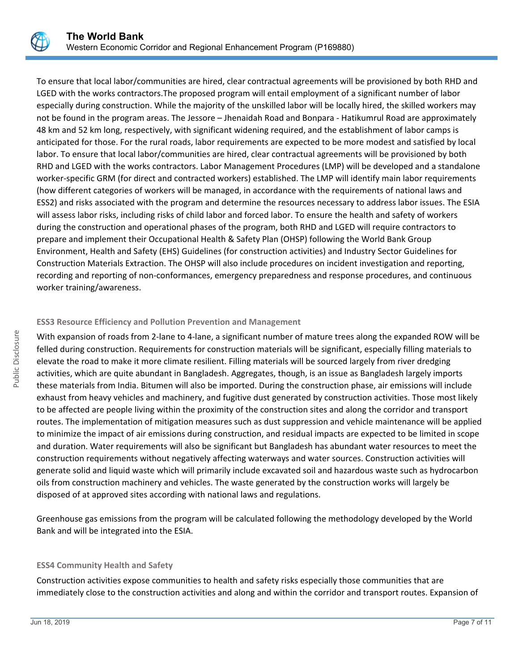

To ensure that local labor/communities are hired, clear contractual agreements will be provisioned by both RHD and LGED with the works contractors.The proposed program will entail employment of a significant number of labor especially during construction. While the majority of the unskilled labor will be locally hired, the skilled workers may not be found in the program areas. The Jessore – Jhenaidah Road and Bonpara - Hatikumrul Road are approximately 48 km and 52 km long, respectively, with significant widening required, and the establishment of labor camps is anticipated for those. For the rural roads, labor requirements are expected to be more modest and satisfied by local labor. To ensure that local labor/communities are hired, clear contractual agreements will be provisioned by both RHD and LGED with the works contractors. Labor Management Procedures (LMP) will be developed and a standalone worker-specific GRM (for direct and contracted workers) established. The LMP will identify main labor requirements (how different categories of workers will be managed, in accordance with the requirements of national laws and ESS2) and risks associated with the program and determine the resources necessary to address labor issues. The ESIA will assess labor risks, including risks of child labor and forced labor. To ensure the health and safety of workers during the construction and operational phases of the program, both RHD and LGED will require contractors to prepare and implement their Occupational Health & Safety Plan (OHSP) following the World Bank Group Environment, Health and Safety (EHS) Guidelines (for construction activities) and Industry Sector Guidelines for Construction Materials Extraction. The OHSP will also include procedures on incident investigation and reporting, recording and reporting of non-conformances, emergency preparedness and response procedures, and continuous worker training/awareness.

#### **ESS3 Resource Efficiency and Pollution Prevention and Management**

With expansion of roads from 2-lane to 4-lane, a significant number of mature trees along the expanded ROW will be felled during construction. Requirements for construction materials will be significant, especially filling materials to elevate the road to make it more climate resilient. Filling materials will be sourced largely from river dredging activities, which are quite abundant in Bangladesh. Aggregates, though, is an issue as Bangladesh largely imports these materials from India. Bitumen will also be imported. During the construction phase, air emissions will include exhaust from heavy vehicles and machinery, and fugitive dust generated by construction activities. Those most likely to be affected are people living within the proximity of the construction sites and along the corridor and transport routes. The implementation of mitigation measures such as dust suppression and vehicle maintenance will be applied to minimize the impact of air emissions during construction, and residual impacts are expected to be limited in scope and duration. Water requirements will also be significant but Bangladesh has abundant water resources to meet the construction requirements without negatively affecting waterways and water sources. Construction activities will generate solid and liquid waste which will primarily include excavated soil and hazardous waste such as hydrocarbon oils from construction machinery and vehicles. The waste generated by the construction works will largely be disposed of at approved sites according with national laws and regulations.

Greenhouse gas emissions from the program will be calculated following the methodology developed by the World Bank and will be integrated into the ESIA.

#### **ESS4 Community Health and Safety**

Construction activities expose communities to health and safety risks especially those communities that are immediately close to the construction activities and along and within the corridor and transport routes. Expansion of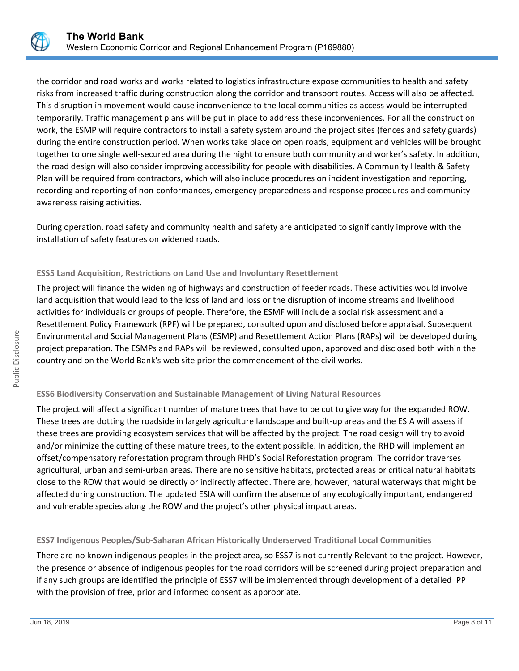

the corridor and road works and works related to logistics infrastructure expose communities to health and safety risks from increased traffic during construction along the corridor and transport routes. Access will also be affected. This disruption in movement would cause inconvenience to the local communities as access would be interrupted temporarily. Traffic management plans will be put in place to address these inconveniences. For all the construction work, the ESMP will require contractors to install a safety system around the project sites (fences and safety guards) during the entire construction period. When works take place on open roads, equipment and vehicles will be brought together to one single well-secured area during the night to ensure both community and worker's safety. In addition, the road design will also consider improving accessibility for people with disabilities. A Community Health & Safety Plan will be required from contractors, which will also include procedures on incident investigation and reporting, recording and reporting of non-conformances, emergency preparedness and response procedures and community awareness raising activities.

During operation, road safety and community health and safety are anticipated to significantly improve with the installation of safety features on widened roads.

## **ESS5 Land Acquisition, Restrictions on Land Use and Involuntary Resettlement**

The project will finance the widening of highways and construction of feeder roads. These activities would involve land acquisition that would lead to the loss of land and loss or the disruption of income streams and livelihood activities for individuals or groups of people. Therefore, the ESMF will include a social risk assessment and a Resettlement Policy Framework (RPF) will be prepared, consulted upon and disclosed before appraisal. Subsequent Environmental and Social Management Plans (ESMP) and Resettlement Action Plans (RAPs) will be developed during project preparation. The ESMPs and RAPs will be reviewed, consulted upon, approved and disclosed both within the country and on the World Bank's web site prior the commencement of the civil works.

## **ESS6 Biodiversity Conservation and Sustainable Management of Living Natural Resources**

The project will affect a significant number of mature trees that have to be cut to give way for the expanded ROW. These trees are dotting the roadside in largely agriculture landscape and built-up areas and the ESIA will assess if these trees are providing ecosystem services that will be affected by the project. The road design will try to avoid and/or minimize the cutting of these mature trees, to the extent possible. In addition, the RHD will implement an offset/compensatory reforestation program through RHD's Social Reforestation program. The corridor traverses agricultural, urban and semi-urban areas. There are no sensitive habitats, protected areas or critical natural habitats close to the ROW that would be directly or indirectly affected. There are, however, natural waterways that might be affected during construction. The updated ESIA will confirm the absence of any ecologically important, endangered and vulnerable species along the ROW and the project's other physical impact areas.

## **ESS7 Indigenous Peoples/Sub-Saharan African Historically Underserved Traditional Local Communities**

There are no known indigenous peoples in the project area, so ESS7 is not currently Relevant to the project. However, the presence or absence of indigenous peoples for the road corridors will be screened during project preparation and if any such groups are identified the principle of ESS7 will be implemented through development of a detailed IPP with the provision of free, prior and informed consent as appropriate.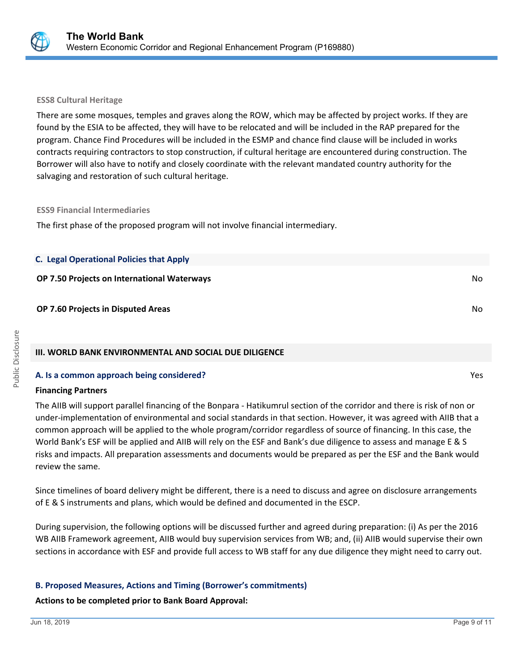

#### **ESS8 Cultural Heritage**

There are some mosques, temples and graves along the ROW, which may be affected by project works. If they are found by the ESIA to be affected, they will have to be relocated and will be included in the RAP prepared for the program. Chance Find Procedures will be included in the ESMP and chance find clause will be included in works contracts requiring contractors to stop construction, if cultural heritage are encountered during construction. The Borrower will also have to notify and closely coordinate with the relevant mandated country authority for the salvaging and restoration of such cultural heritage.

#### **ESS9 Financial Intermediaries**

The first phase of the proposed program will not involve financial intermediary.

| <b>C. Legal Operational Policies that Apply</b>    |     |
|----------------------------------------------------|-----|
| <b>OP 7.50 Projects on International Waterways</b> | No. |
| <b>OP 7.60 Projects in Disputed Areas</b>          | No. |

## **III. WORLD BANK ENVIRONMENTAL AND SOCIAL DUE DILIGENCE**

#### **A. Is a common approach being considered?** Yes

#### **Financing Partners**

The AIIB will support parallel financing of the Bonpara - Hatikumrul section of the corridor and there is risk of non or under-implementation of environmental and social standards in that section. However, it was agreed with AIIB that a common approach will be applied to the whole program/corridor regardless of source of financing. In this case, the World Bank's ESF will be applied and AIIB will rely on the ESF and Bank's due diligence to assess and manage E & S risks and impacts. All preparation assessments and documents would be prepared as per the ESF and the Bank would review the same.

Since timelines of board delivery might be different, there is a need to discuss and agree on disclosure arrangements of E & S instruments and plans, which would be defined and documented in the ESCP.

During supervision, the following options will be discussed further and agreed during preparation: (i) As per the 2016 WB AIIB Framework agreement, AIIB would buy supervision services from WB; and, (ii) AIIB would supervise their own sections in accordance with ESF and provide full access to WB staff for any due diligence they might need to carry out.

#### **B. Proposed Measures, Actions and Timing (Borrower's commitments)**

#### **Actions to be completed prior to Bank Board Approval:**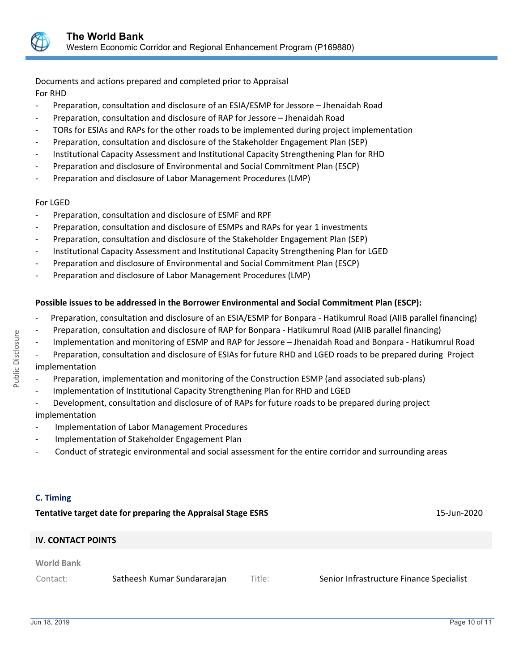

Documents and actions prepared and completed prior to Appraisal For RHD

- Preparation, consultation and disclosure of an ESIA/ESMP for Jessore Jhenaidah Road
- Preparation, consultation and disclosure of RAP for Jessore Jhenaidah Road
- TORs for ESIAs and RAPs for the other roads to be implemented during project implementation
- Preparation, consultation and disclosure of the Stakeholder Engagement Plan (SEP)
- Institutional Capacity Assessment and Institutional Capacity Strengthening Plan for RHD
- Preparation and disclosure of Environmental and Social Commitment Plan (ESCP)
- Preparation and disclosure of Labor Management Procedures (LMP)

#### For LGED

- Preparation, consultation and disclosure of ESMF and RPF
- Preparation, consultation and disclosure of ESMPs and RAPs for year 1 investments
- Preparation, consultation and disclosure of the Stakeholder Engagement Plan (SEP)
- Institutional Capacity Assessment and Institutional Capacity Strengthening Plan for LGED
- Preparation and disclosure of Environmental and Social Commitment Plan (ESCP)
- Preparation and disclosure of Labor Management Procedures (LMP)

## **Possible issues to be addressed in the Borrower Environmental and Social Commitment Plan (ESCP):**

- Preparation, consultation and disclosure of an ESIA/ESMP for Bonpara Hatikumrul Road (AIIB parallel financing)
- Preparation, consultation and disclosure of RAP for Bonpara Hatikumrul Road (AIIB parallel financing)
- Implementation and monitoring of ESMP and RAP for Jessore Jhenaidah Road and Bonpara Hatikumrul Road

Preparation, consultation and disclosure of ESIAs for future RHD and LGED roads to be prepared during Project implementation

- Preparation, implementation and monitoring of the Construction ESMP (and associated sub-plans)
- Implementation of Institutional Capacity Strengthening Plan for RHD and LGED
- Development, consultation and disclosure of of RAPs for future roads to be prepared during project implementation
- Implementation of Labor Management Procedures
- Implementation of Stakeholder Engagement Plan
- Conduct of strategic environmental and social assessment for the entire corridor and surrounding areas

## **C. Timing**

**Tentative target date for preparing the Appraisal Stage ESRS** 15-Jun-2020 **IV. CONTACT POINTS World Bank** Contact: Satheesh Kumar Sundararajan Title: Senior Infrastructure Finance Specialist